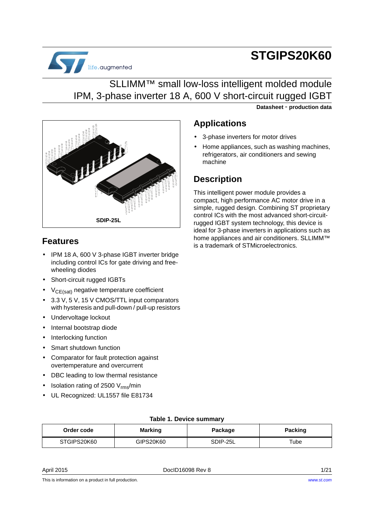# **STGIPS20K60**



## SLLIMM™ small low-loss intelligent molded module IPM, 3-phase inverter 18 A, 600 V short-circuit rugged IGBT

**Datasheet** - **production data**



### **Features**

- IPM 18 A, 600 V 3-phase IGBT inverter bridge including control ICs for gate driving and freewheeling diodes
- Short-circuit rugged IGBTs
- $V_{CE(sat)}$  negative temperature coefficient
- 3.3 V, 5 V, 15 V CMOS/TTL input comparators with hysteresis and pull-down / pull-up resistors
- Undervoltage lockout
- Internal bootstrap diode
- Interlocking function
- Smart shutdown function
- Comparator for fault protection against overtemperature and overcurrent
- DBC leading to low thermal resistance
- Isolation rating of 2500  $V_{\text{rms}}/$ min
- UL Recognized: UL1557 file E81734

### **Applications**

- 3-phase inverters for motor drives
- Home appliances, such as washing machines, refrigerators, air conditioners and sewing machine

### **Description**

This intelligent power module provides a compact, high performance AC motor drive in a simple, rugged design. Combining ST proprietary control ICs with the most advanced short-circuitrugged IGBT system technology, this device is ideal for 3-phase inverters in applications such as home appliances and air conditioners. SLLIMM™ is a trademark of STMicroelectronics.

|  | Table 1. Device summary |
|--|-------------------------|
|--|-------------------------|

| Order code  | <b>Marking</b> | Package  | Packing |
|-------------|----------------|----------|---------|
| STGIPS20K60 | GIPS20K60      | SDIP-25L | ™ube    |

April 2015 **DociD16098 Rev 8** 21/21

This is information on a product in full production.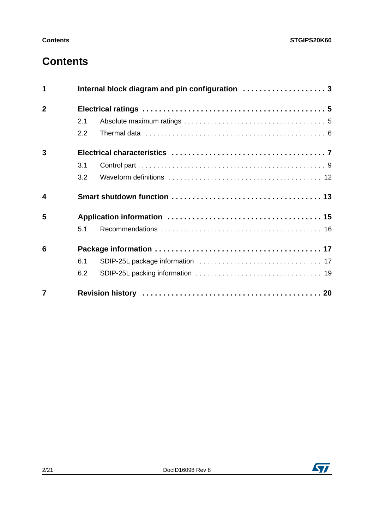## **Contents**

| 1                       |     |  |  |  |
|-------------------------|-----|--|--|--|
| $\overline{2}$          |     |  |  |  |
|                         | 2.1 |  |  |  |
|                         | 2.2 |  |  |  |
| 3                       |     |  |  |  |
|                         | 3.1 |  |  |  |
|                         | 3.2 |  |  |  |
| $\overline{\mathbf{4}}$ |     |  |  |  |
| 5                       |     |  |  |  |
|                         | 5.1 |  |  |  |
| 6                       |     |  |  |  |
|                         | 6.1 |  |  |  |
|                         | 6.2 |  |  |  |
| $\overline{7}$          |     |  |  |  |

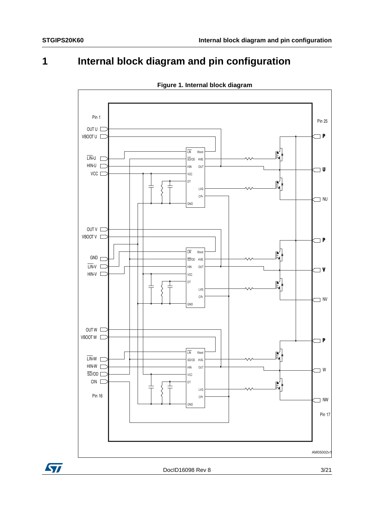## <span id="page-2-0"></span>**1 Internal block diagram and pin configuration**



**Figure 1. Internal block diagram**

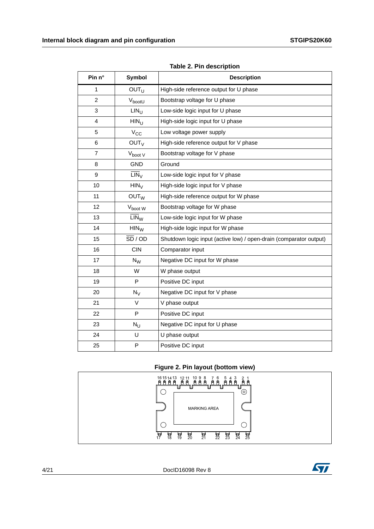| Pin n°         | <b>Symbol</b>               | <b>Description</b>                                                 |
|----------------|-----------------------------|--------------------------------------------------------------------|
| 1              | <b>OUT<sub>U</sub></b>      | High-side reference output for U phase                             |
| 2              | V <sub>boot</sub> U         | Bootstrap voltage for U phase                                      |
| 3              | $LIN_{11}$                  | Low-side logic input for U phase                                   |
| 4              | HIN <sub>U</sub>            | High-side logic input for U phase                                  |
| 5              | $V_{CC}$                    | Low voltage power supply                                           |
| 6              | OUT <sub>V</sub>            | High-side reference output for V phase                             |
| $\overline{7}$ | $V_{boot}$ V                | Bootstrap voltage for V phase                                      |
| 8              | <b>GND</b>                  | Ground                                                             |
| 9              | $\overline{\text{LIN}}_{V}$ | Low-side logic input for V phase                                   |
| 10             | $HIN_V$                     | High-side logic input for V phase                                  |
| 11             | OUT <sub>W</sub>            | High-side reference output for W phase                             |
| 12             | V <sub>boot</sub> W         | Bootstrap voltage for W phase                                      |
| 13             | $LIN_{VV}$                  | Low-side logic input for W phase                                   |
| 14             | $HIN_{W}$                   | High-side logic input for W phase                                  |
| 15             | $\overline{SD}$ / OD        | Shutdown logic input (active low) / open-drain (comparator output) |
| 16             | <b>CIN</b>                  | Comparator input                                                   |
| 17             | $N_{\rm W}$                 | Negative DC input for W phase                                      |
| 18             | W                           | W phase output                                                     |
| 19             | P                           | Positive DC input                                                  |
| 20             | $N_V$                       | Negative DC input for V phase                                      |
| 21             | $\vee$                      | V phase output                                                     |
| 22             | P                           | Positive DC input                                                  |
| 23             | $N_{\rm U}$                 | Negative DC input for U phase                                      |
| 24             | U                           | U phase output                                                     |
| 25             | P                           | Positive DC input                                                  |

**Table 2. Pin description**

#### **Figure 2. Pin layout (bottom view)**

<span id="page-3-0"></span>

4/21 DocID16098 Rev 8

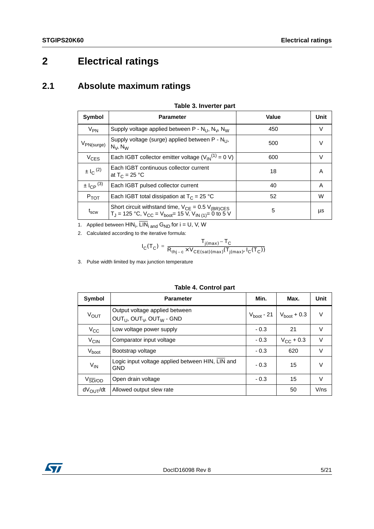## <span id="page-4-0"></span>**2 Electrical ratings**

### <span id="page-4-1"></span>**2.1 Absolute maximum ratings**

<span id="page-4-2"></span>

| Symbol                      | <b>Parameter</b>                                                                                                                                                | Value | Unit   |
|-----------------------------|-----------------------------------------------------------------------------------------------------------------------------------------------------------------|-------|--------|
| $V_{PN}$                    | Supply voltage applied between P - $N_{U}$ , $N_{V}$ , $N_{W}$                                                                                                  | 450   | V      |
| $V_{PN(surge)}$             | Supply voltage (surge) applied between P - N <sub>LI</sub> ,<br>$N_V$ , $N_W$                                                                                   | 500   | $\vee$ |
| $V_{CES}$                   | Each IGBT collector emitter voltage $(V_{1N}^{(1)} = 0 V)$                                                                                                      | 600   | $\vee$ |
| $\pm 1$ <sub>C</sub> $(2)$  | Each IGBT continuous collector current<br>at $T_C = 25 °C$                                                                                                      | 18    | A      |
| $\pm I_{CP}$ <sup>(3)</sup> | Each IGBT pulsed collector current                                                                                                                              | 40    | A      |
| $P_{TOT}$                   | Each IGBT total dissipation at $T_c = 25 °C$                                                                                                                    | 52    | W      |
| $\mathfrak{t}_{\rm scw}$    | Short circuit withstand time, $V_{CE} = 0.5 V_{(BR)CES}$<br>T <sub>J</sub> = 125 °C, V <sub>CC</sub> = V <sub>boot</sub> = 15 V, V <sub>IN (1)</sub> = 0 to 5 V | 5     | μs     |

#### **Table 3. Inverter part**

1. Applied between  ${\sf HIN}_{\sf i},$   ${\sf LIN}_{\sf i}$  and  ${\sf G}_{\sf ND}$  for  ${\sf i} = {\sf U},$  V, W

2. Calculated according to the iterative formula:

$$
I_C(T_C) = \frac{T_{j(max)} - T_C}{R_{thj-c} \times V_{CE(sat)(max)}(T_{j(max)}, I_C(T_C))}
$$

3. Pulse width limited by max junction temperature

<span id="page-4-3"></span>

| <b>Symbol</b>                        | <b>Parameter</b>                                               | Min.                   | Max.                    | Unit   |
|--------------------------------------|----------------------------------------------------------------|------------------------|-------------------------|--------|
| V <sub>OUT</sub>                     | Output voltage applied between<br>$OUTU, OUTV, OUTW - GND$     | $V_{\text{boot}}$ - 21 | $V_{\text{boot}} + 0.3$ | $\vee$ |
| $V_{\rm CC}$                         | Low voltage power supply                                       | $-0.3$                 | 21                      | $\vee$ |
| $V_{CIN}$                            | Comparator input voltage                                       | $-0.3$                 | $V_{CC}$ + 0.3          | $\vee$ |
| V <sub>boot</sub>                    | Bootstrap voltage                                              | $-0.3$                 | 620                     | $\vee$ |
| $V_{IN}$                             | Logic input voltage applied between HIN, LIN and<br><b>GND</b> | $-0.3$                 | 15                      | $\vee$ |
| $V_{\overline{\text{SD}}/\text{OD}}$ | Open drain voltage                                             | $-0.3$                 | 15                      | $\vee$ |
| dV <sub>OUT</sub> /dt                | Allowed output slew rate                                       |                        | 50                      | V/ns   |

#### **Table 4. Control part**

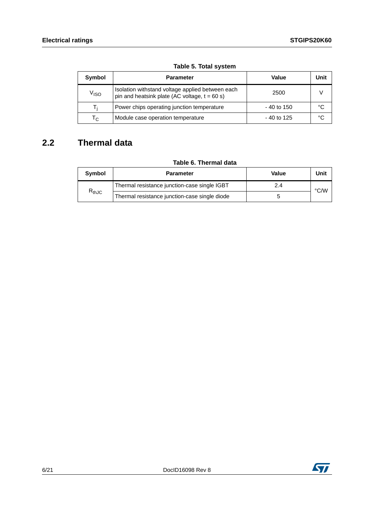<span id="page-5-1"></span>

| Symbol<br><b>Parameter</b> |                                                                                                     | Value        | Unit |
|----------------------------|-----------------------------------------------------------------------------------------------------|--------------|------|
| V <sub>ISO</sub>           | Isolation withstand voltage applied between each<br>pin and heatsink plate (AC voltage, $t = 60$ s) | 2500         |      |
|                            | Power chips operating junction temperature                                                          | $-40$ to 150 | °C   |
| $\mathsf{T}_\mathsf{C}$    | Module case operation temperature                                                                   | - 40 to 125  | °C   |

**Table 5. Total system**

### <span id="page-5-0"></span>**2.2 Thermal data**

#### **Table 6. Thermal data**

| Symbol                       | <b>Parameter</b>                              | Value | Unit |
|------------------------------|-----------------------------------------------|-------|------|
| $\mathsf{R}_{\mathsf{thJC}}$ | Thermal resistance junction-case single IGBT  | 2.4   | °C/W |
|                              | Thermal resistance junction-case single diode |       |      |

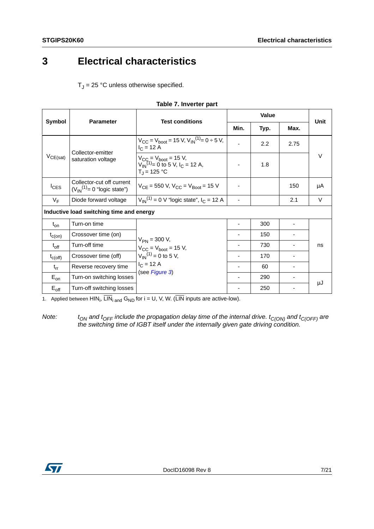## <span id="page-6-0"></span>**3 Electrical characteristics**

 ${\sf T}_\mathsf{J}$  = 25 °C unless otherwise specified.

<span id="page-6-1"></span>

| Symbol           | <b>Parameter</b>                                                | <b>Test conditions</b>                                                                              | Min.                     | Typ. | Max. | Unit   |
|------------------|-----------------------------------------------------------------|-----------------------------------------------------------------------------------------------------|--------------------------|------|------|--------|
|                  | Collector-emitter                                               | $V_{CC} = V_{boot} = 15 V$ , $V_{IN}^{(1)} = 0 \div 5 V$ ,<br>$I_C = 12 A$                          |                          | 2.2  | 2.75 |        |
| $V_{CE(sat)}$    | saturation voltage                                              | $V_{CC} = V_{boot} = 15 V$ ,<br>$V_{IN}^{(1)} = 0$ to 5 V, I <sub>C</sub> = 12 A,<br>$T_1 = 125 °C$ | $\overline{\phantom{a}}$ | 1.8  |      | $\vee$ |
| $I_{CES}$        | Collector-cut off current<br>$(V_{IN}^{(1)} = 0$ "logic state") | $V_{CF}$ = 550 V, $V_{CC}$ = $V_{Root}$ = 15 V                                                      |                          |      | 150  | μA     |
| $V_F$            | Diode forward voltage                                           | $V_{IN}^{(1)} = 0$ V "logic state", $I_C = 12$ A                                                    |                          |      | 2.1  | V      |
|                  | Inductive load switching time and energy                        |                                                                                                     |                          |      |      |        |
| $t_{on}$         | Turn-on time                                                    |                                                                                                     |                          | 300  |      |        |
| $t_{c(on)}$      | Crossover time (on)                                             | $V_{PN}$ = 300 V,                                                                                   |                          | 150  |      |        |
| $t_{off}$        | Turn-off time                                                   | $V_{CC}$ = $V_{boot}$ = 15 V,                                                                       |                          | 730  |      | ns     |
| $t_{\rm c(off)}$ | Crossover time (off)                                            | $V_{IN}^{(1)} = 0$ to 5 V,<br>$I_C = 12 A$                                                          |                          | 170  |      |        |
| $t_{rr}$         | Reverse recovery time                                           |                                                                                                     |                          | 60   |      |        |
| $E_{on}$         | Turn-on switching losses                                        | (see Figure 3)                                                                                      |                          | 290  | ۰    |        |
| $E_{\text{off}}$ | Turn-off switching losses                                       |                                                                                                     |                          | 250  |      | μJ     |

|  | Table 7. Inverter part |  |
|--|------------------------|--|
|--|------------------------|--|

1. Applied between  $HIN_i$ ,  $LIN_i$  and  $G_{ND}$  for  $i = U$ , V, W. (LIN inputs are active-low).

Note: t<sub>ON</sub> and t<sub>OFF</sub> include the propagation delay time of the internal drive. t<sub>C(ON)</sub> and t<sub>C(OFF)</sub> are the switching time of IGBT itself under the internally given gate driving condition.

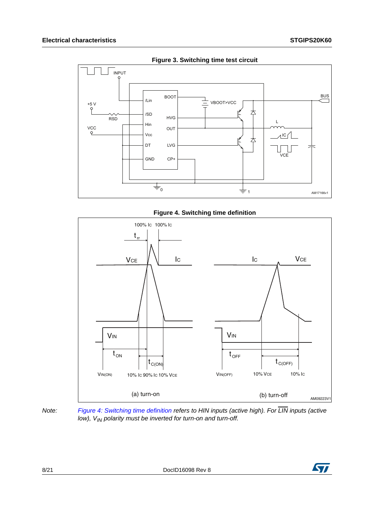<span id="page-7-0"></span>

**Figure 3. Switching time test circuit**



<span id="page-7-1"></span>



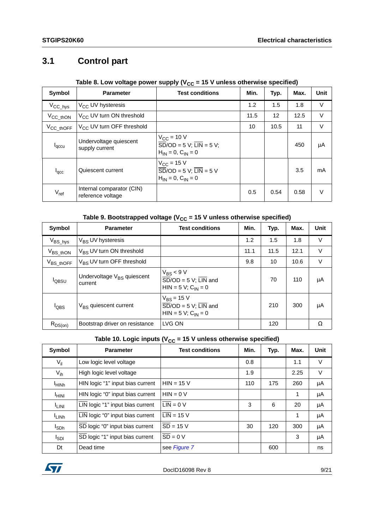## <span id="page-8-0"></span>**3.1 Control part**

#### Table 8. Low voltage power supply (V<sub>CC</sub> = 15 V unless otherwise specified)

| Symbol                         | <b>Parameter</b>                               | <b>Test conditions</b>                                                                                                         | Min. | Typ. | Max. | Unit   |
|--------------------------------|------------------------------------------------|--------------------------------------------------------------------------------------------------------------------------------|------|------|------|--------|
| $V_{\text{CC}_{\text{N}}}$     | V <sub>CC</sub> UV hysteresis                  |                                                                                                                                | 1.2  | 1.5  | 1.8  | V      |
| $V_{\text{CC}_{\text{thON}}}$  | $V_{CC}$ UV turn ON threshold                  |                                                                                                                                | 11.5 | 12   | 12.5 | $\vee$ |
| $V_{\text{CC}_{\text{thOFF}}}$ | V <sub>CC</sub> UV turn OFF threshold          |                                                                                                                                | 10   | 10.5 | 11   | V      |
| $I_{\text{qccu}}$              | Undervoltage quiescent<br>supply current       | $V_{\rm CC}$ = 10 V<br>$\overline{SD} / OD = 5$ V; $\overline{LIN} = 5$ V;<br>$H_{IN} = 0, C_{IN} = 0$                         |      |      | 450  | μA     |
| $I_{\text{GCC}}$               | Quiescent current                              | $V_{\rm CC}$ = 15 V<br>$\overline{SD} / \overline{OD} = 5 \text{ V}; \overline{LIN} = 5 \text{ V}$<br>$H_{IN} = 0, C_{IN} = 0$ |      |      | 3.5  | mA     |
| $V_{ref}$                      | Internal comparator (CIN)<br>reference voltage |                                                                                                                                | 0.5  | 0.54 | 0.58 | $\vee$ |

#### Table 9. Bootstrapped voltage (V<sub>CC</sub> = 15 V unless otherwise specified)

| Symbol                 | <b>Parameter</b>                                  | <b>Test conditions</b>                                                                         | Min. | Typ. | Max. | <b>Unit</b> |
|------------------------|---------------------------------------------------|------------------------------------------------------------------------------------------------|------|------|------|-------------|
| $\mathrm{V_{BS\_hys}}$ | V <sub>BS</sub> UV hysteresis                     |                                                                                                | 1.2  | 1.5  | 1.8  | V           |
| $V_{BS\_thON}$         | V <sub>BS</sub> UV turn ON threshold              |                                                                                                | 11.1 | 11.5 | 12.1 | V           |
| $V_{BS\_thOFF}$        | $V_{BS}$ UV turn OFF threshold                    |                                                                                                | 9.8  | 10   | 10.6 | V           |
| <b>l</b> obsu          | Undervoltage V <sub>BS</sub> quiescent<br>current | $V_{BS}$ < 9 V<br>$\overline{SD}/OD = 5 \text{ V}; \overline{LIN}$ and<br>$HIN = 5 V; CIN = 0$ |      | 70   | 110  | μA          |
| $I_{OBS}$              | V <sub>BS</sub> quiescent current                 | $V_{BS}$ = 15 V<br>$\overline{SD}/OD = 5$ V; $\overline{LIN}$ and<br>$HIN = 5 V; CIN = 0$      |      | 210  | 300  | μA          |
| $R_{DS(on)}$           | Bootstrap driver on resistance                    | LVG ON                                                                                         |      | 120  |      | Ω           |

#### Table 10. Logic inputs (V<sub>CC</sub> = 15 V unless otherwise specified)

<span id="page-8-1"></span>

| Symbol                        | <b>Parameter</b>                 | <b>Test conditions</b>        | Min. | Typ. | Max. | Unit |
|-------------------------------|----------------------------------|-------------------------------|------|------|------|------|
| $V_{\parallel}$               | Low logic level voltage          |                               | 0.8  |      | 1.1  | V    |
| $V_{ih}$                      | High logic level voltage         |                               | 1.9  |      | 2.25 | V    |
| <sup>I</sup> HINh             | HIN logic "1" input bias current | $HIN = 15 V$                  | 110  | 175  | 260  | μA   |
| <sup>I</sup> HINI             | HIN logic "0" input bias current | $HIN = 0 V$                   |      |      | 1    | μA   |
| <sup>I</sup> LINI             | LIN logic "1" input bias current | $LIN = 0 V$                   | 3    | 6    | 20   | μA   |
| <sup>I</sup> LIN <sub>h</sub> | LIN logic "0" input bias current | $LIN = 15V$                   |      |      | 1    | μA   |
| <b>I</b> <sub>SDh</sub>       | SD logic "0" input bias current  | $\overline{SD}$ = 15 V        | 30   | 120  | 300  | μA   |
| <sup>I</sup> SDI              | SD logic "1" input bias current  | $\overline{SD} = 0 \text{ V}$ |      |      | 3    | μA   |
| Dt                            | Dead time                        | see Figure 7                  |      | 600  |      | ns   |

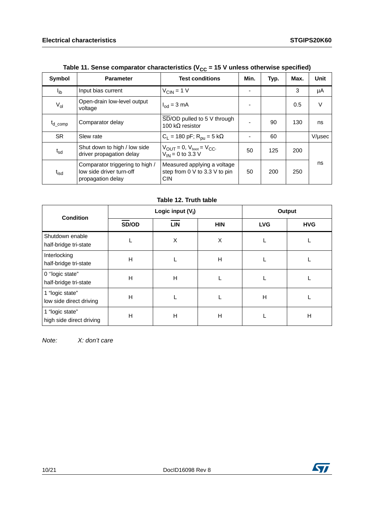<span id="page-9-0"></span>

| <b>Symbol</b>     | <b>Parameter</b>                                                                 | <b>Test conditions</b>                                                              | Min. | Typ. | Max. | Unit   |
|-------------------|----------------------------------------------------------------------------------|-------------------------------------------------------------------------------------|------|------|------|--------|
| $I_{\mathsf{ib}}$ | Input bias current                                                               | $V_{CIN} = 1 V$                                                                     | -    |      | 3    | μA     |
| $V_{ol}$          | Open-drain low-level output<br>voltage                                           | $I_{od} = 3 \text{ mA}$                                                             |      |      | 0.5  | $\vee$ |
| $t_{d}$ comp      | Comparator delay                                                                 | SD/OD pulled to 5 V through<br>100 kΩ resistor                                      |      | 90   | 130  | ns     |
| <b>SR</b>         | Slew rate                                                                        | $C_L$ = 180 pF; $R_{\text{pu}}$ = 5 k $\Omega$                                      |      | 60   |      | V/µsec |
| $t_{sd}$          | Shut down to high / low side<br>driver propagation delay                         | $V_{\text{OUT}} = 0$ , $V_{\text{boot}} = V_{\text{CC}}$ ,<br>$V_{IN} = 0$ to 3.3 V | 50   | 125  | 200  |        |
| t <sub>isd</sub>  | Comparator triggering to high /<br>low side driver turn-off<br>propagation delay | Measured applying a voltage<br>step from 0 V to 3.3 V to pin<br><b>CIN</b>          | 50   | 200  | 250  | ns     |

| Table 11. Sense comparator characteristics (V <sub>CC</sub> = 15 V unless otherwise specified) |  |  |
|------------------------------------------------------------------------------------------------|--|--|
|------------------------------------------------------------------------------------------------|--|--|

#### **Table 12. Truth table**

| <b>Condition</b>                            | Logic input $(V1)$ |            |            | Output     |            |  |
|---------------------------------------------|--------------------|------------|------------|------------|------------|--|
|                                             | SD/OD              | <b>LIN</b> | <b>HIN</b> | <b>LVG</b> | <b>HVG</b> |  |
| Shutdown enable<br>half-bridge tri-state    |                    | X          | X          |            |            |  |
| Interlocking<br>half-bridge tri-state       | H                  |            | Н          |            |            |  |
| 0 "logic state"<br>half-bridge tri-state    | н                  | H          |            |            |            |  |
| 1 "logic state"<br>low side direct driving  | Н                  |            |            | Н          |            |  |
| 1 "logic state"<br>high side direct driving | н                  | H          | Н          |            | H          |  |

Note: X: don't care

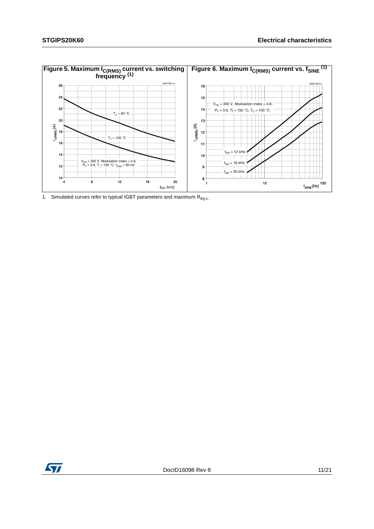

1. Simulated curves refer to typical IGBT parameters and maximum  $R_{thj-c}$ .

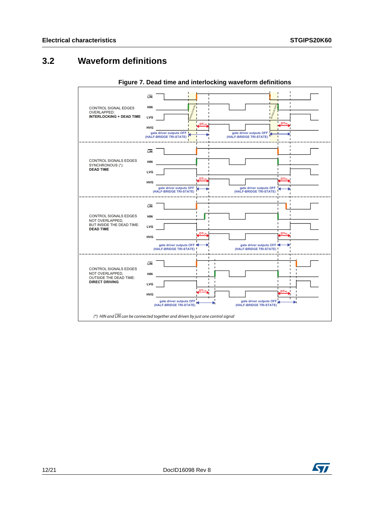### <span id="page-11-0"></span>**3.2 Waveform definitions**

<span id="page-11-1"></span>

**Figure 7. Dead time and interlocking waveform definitions**

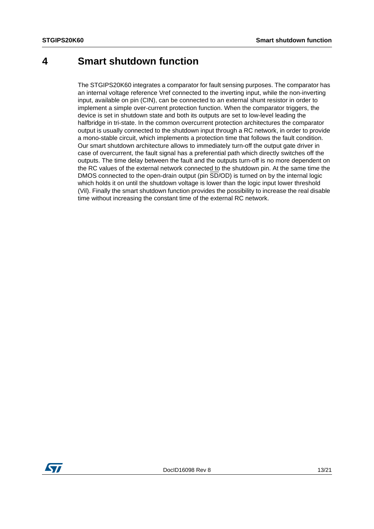### <span id="page-12-0"></span>**4 Smart shutdown function**

The STGIPS20K60 integrates a comparator for fault sensing purposes. The comparator has an internal voltage reference Vref connected to the inverting input, while the non-inverting input, available on pin (CIN), can be connected to an external shunt resistor in order to implement a simple over-current protection function. When the comparator triggers, the device is set in shutdown state and both its outputs are set to low-level leading the halfbridge in tri-state. In the common overcurrent protection architectures the comparator output is usually connected to the shutdown input through a RC network, in order to provide a mono-stable circuit, which implements a protection time that follows the fault condition. Our smart shutdown architecture allows to immediately turn-off the output gate driver in case of overcurrent, the fault signal has a preferential path which directly switches off the outputs. The time delay between the fault and the outputs turn-off is no more dependent on the RC values of the external network connected to the shutdown pin. At the same time the DMOS connected to the open-drain output (pin SD/OD) is turned on by the internal logic which holds it on until the shutdown voltage is lower than the logic input lower threshold (Vil). Finally the smart shutdown function provides the possibility to increase the real disable time without increasing the constant time of the external RC network.

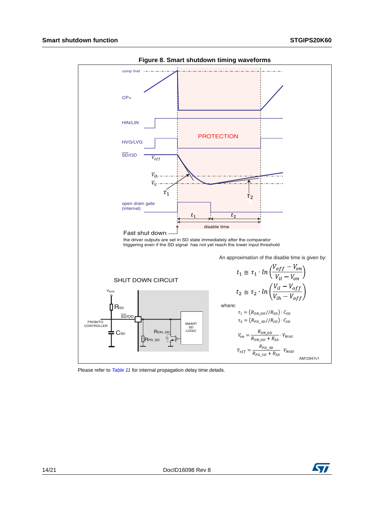<span id="page-13-0"></span>

**Figure 8. Smart shutdown timing waveforms**

Please refer to **[Table 11](#page-9-0)** for internal propagation delay time details.

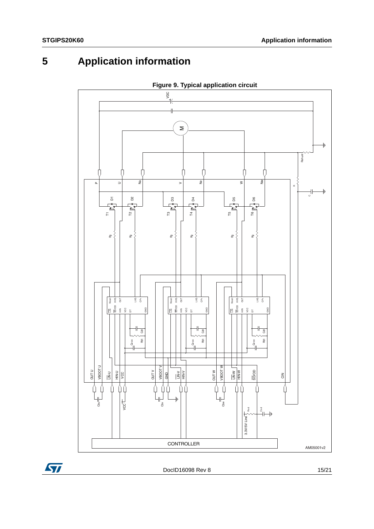## <span id="page-14-0"></span>**5 Application information**





DocID16098 Rev 8 15/21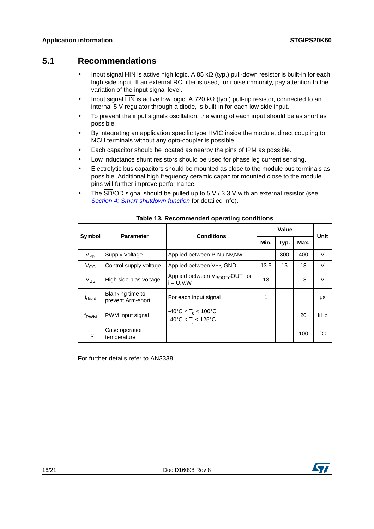#### <span id="page-15-0"></span>**5.1 Recommendations**

- Input signal HIN is active high logic. A 85 kΩ (typ.) pull-down resistor is built-in for each high side input. If an external RC filter is used, for noise immunity, pay attention to the variation of the input signal level.
- Input signal LIN is active low logic. A 720 kΩ (typ.) pull-up resistor, connected to an internal 5 V regulator through a diode, is built-in for each low side input.
- To prevent the input signals oscillation, the wiring of each input should be as short as possible.
- By integrating an application specific type HVIC inside the module, direct coupling to MCU terminals without any opto-coupler is possible.
- Each capacitor should be located as nearby the pins of IPM as possible.
- Low inductance shunt resistors should be used for phase leg current sensing.
- Electrolytic bus capacitors should be mounted as close to the module bus terminals as possible. Additional high frequency ceramic capacitor mounted close to the module pins will further improve performance.
- The  $\overline{SD}/OD$  signal should be pulled up to 5 V / 3.3 V with an external resistor (see [Section 4: Smart shutdown function](#page-12-0) for detailed info).

|                           | <b>Parameter</b>                      | Value<br><b>Conditions</b>                                                           |      |      |      | Unit   |
|---------------------------|---------------------------------------|--------------------------------------------------------------------------------------|------|------|------|--------|
| Symbol                    |                                       |                                                                                      | Min. | Typ. | Max. |        |
| $V_{PN}$                  | Supply Voltage                        | Applied between P-Nu, Nv, Nw                                                         |      | 300  | 400  | V      |
| $V_{\rm CC}$              | Control supply voltage                | Applied between V <sub>CC</sub> -GND                                                 | 13.5 | 15   | 18   | $\vee$ |
| $V_{BS}$                  | High side bias voltage                | Applied between $V_{\text{BODT}}$ -OUT <sub>i</sub> for<br>$i = U.V.W$               | 13   |      | 18   | V      |
| t <sub>dead</sub>         | Blanking time to<br>prevent Arm-short | For each input signal                                                                | 1    |      |      | μs     |
| f <sub>PWM</sub>          | PWM input signal                      | $-40^{\circ}$ C < T <sub>c</sub> < 100°C<br>$-40^{\circ}$ C < T <sub>i</sub> < 125°C |      |      | 20   | kHz    |
| $\mathsf{T}_{\mathsf{C}}$ | Case operation<br>temperature         |                                                                                      |      |      | 100  | °C     |

#### **Table 13. Recommended operating conditions**

For further details refer to AN3338.

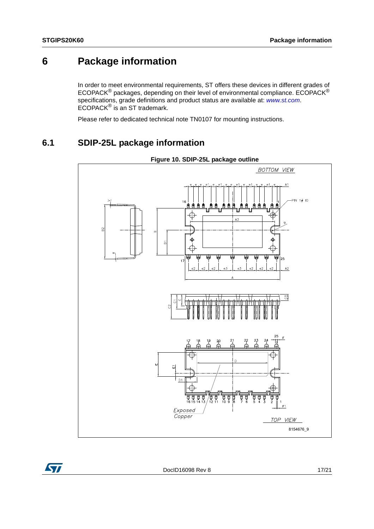## <span id="page-16-0"></span>**6 Package information**

In order to meet environmental requirements, ST offers these devices in different grades of ECOPACK® packages, depending on their level of environmental compliance. ECOPACK® specifications, grade definitions and product status are available at: [www.st.com](http://www.st.com). ECOPACK® is an ST trademark.

Please refer to dedicated technical note TN0107 for mounting instructions.

### <span id="page-16-1"></span>**6.1 SDIP-25L package information**

<span id="page-16-2"></span>

**Figure 10. SDIP-25L package outline**



DocID16098 Rev 8 17/21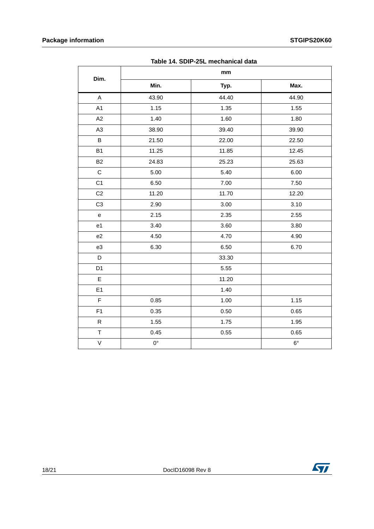| TADIC TH. SUIF-ZUL INCURATION UAIA |             |       |             |  |  |  |
|------------------------------------|-------------|-------|-------------|--|--|--|
| Dim.                               | mm          |       |             |  |  |  |
|                                    | Min.        | Typ.  | Max.        |  |  |  |
| A                                  | 43.90       | 44.40 | 44.90       |  |  |  |
| A1                                 | 1.15        | 1.35  | 1.55        |  |  |  |
| A2                                 | 1.40        | 1.60  | 1.80        |  |  |  |
| A <sub>3</sub>                     | 38.90       | 39.40 | 39.90       |  |  |  |
| B                                  | 21.50       | 22.00 | 22.50       |  |  |  |
| <b>B1</b>                          | 11.25       | 11.85 | 12.45       |  |  |  |
| <b>B2</b>                          | 24.83       | 25.23 | 25.63       |  |  |  |
| $\mathsf C$                        | 5.00        | 5.40  | 6.00        |  |  |  |
| C <sub>1</sub>                     | 6.50        | 7.00  | 7.50        |  |  |  |
| C <sub>2</sub>                     | 11.20       | 11.70 | 12.20       |  |  |  |
| C <sub>3</sub>                     | 2.90        | 3.00  | 3.10        |  |  |  |
| ${\bf e}$                          | 2.15        | 2.35  | 2.55        |  |  |  |
| e1                                 | 3.40        | 3.60  | 3.80        |  |  |  |
| e <sub>2</sub>                     | 4.50        | 4.70  | 4.90        |  |  |  |
| e3                                 | 6.30        | 6.50  | 6.70        |  |  |  |
| D                                  |             | 33.30 |             |  |  |  |
| D <sub>1</sub>                     |             | 5.55  |             |  |  |  |
| E                                  |             | 11.20 |             |  |  |  |
| E1                                 |             | 1.40  |             |  |  |  |
| $\mathsf F$                        | 0.85        | 1.00  | 1.15        |  |  |  |
| F1                                 | 0.35        | 0.50  | 0.65        |  |  |  |
| ${\sf R}$                          | 1.55        | 1.75  | 1.95        |  |  |  |
| $\top$                             | 0.45        | 0.55  | 0.65        |  |  |  |
| $\mathsf V$                        | $0^{\circ}$ |       | $6^{\circ}$ |  |  |  |

**Table 14. SDIP-25L mechanical data**

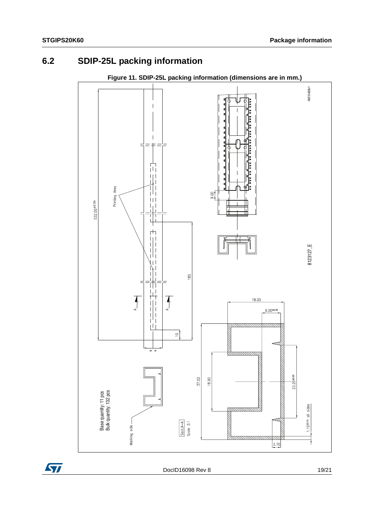## <span id="page-18-0"></span>**6.2 SDIP-25L packing information**

<span id="page-18-1"></span>

#### **Figure 11. SDIP-25L packing information (dimensions are in mm.)**



DocID16098 Rev 8 19/21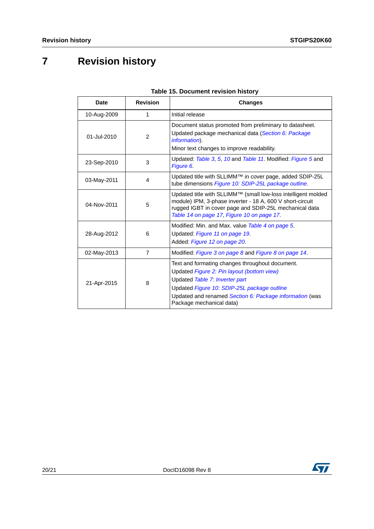# <span id="page-19-0"></span>**7 Revision history**

| Date             | <b>Revision</b> | <b>Changes</b>                                                                                                                                                                                                                                                        |
|------------------|-----------------|-----------------------------------------------------------------------------------------------------------------------------------------------------------------------------------------------------------------------------------------------------------------------|
| 10-Aug-2009      | 1               | Initial release                                                                                                                                                                                                                                                       |
| 01-Jul-2010      | $\overline{2}$  | Document status promoted from preliminary to datasheet.<br>Updated package mechanical data (Section 6: Package<br><i>information</i> ).<br>Minor text changes to improve readability.                                                                                 |
| 23-Sep-2010      | 3               | Updated: Table 3, 5, 10 and Table 11. Modified: Figure 5 and<br>Figure 6.                                                                                                                                                                                             |
| 03-May-2011      | 4               | Updated title with SLLIMM™ in cover page, added SDIP-25L<br>tube dimensions Figure 10: SDIP-25L package outline.                                                                                                                                                      |
| 04-Nov-2011      | 5               | Updated title with SLLIMM™ (small low-loss intelligent molded<br>module) IPM, 3-phase inverter - 18 A, 600 V short-circuit<br>rugged IGBT in cover page and SDIP-25L mechanical data<br>Table 14 on page 17, Figure 10 on page 17.                                    |
| 28-Aug-2012<br>6 |                 | Modified: Min. and Max. value Table 4 on page 5.<br>Updated: Figure 11 on page 19.<br>Added: Figure 12 on page 20.                                                                                                                                                    |
| 02-May-2013      | $\overline{7}$  | Modified: Figure 3 on page 8 and Figure 8 on page 14.                                                                                                                                                                                                                 |
| 8<br>21-Apr-2015 |                 | Text and formating changes throughout document.<br>Updated Figure 2: Pin layout (bottom view)<br>Updated Table 7: Inverter part<br>Updated Figure 10: SDIP-25L package outline<br>Updated and renamed Section 6: Package information (was<br>Package mechanical data) |

#### **Table 15. Document revision history**